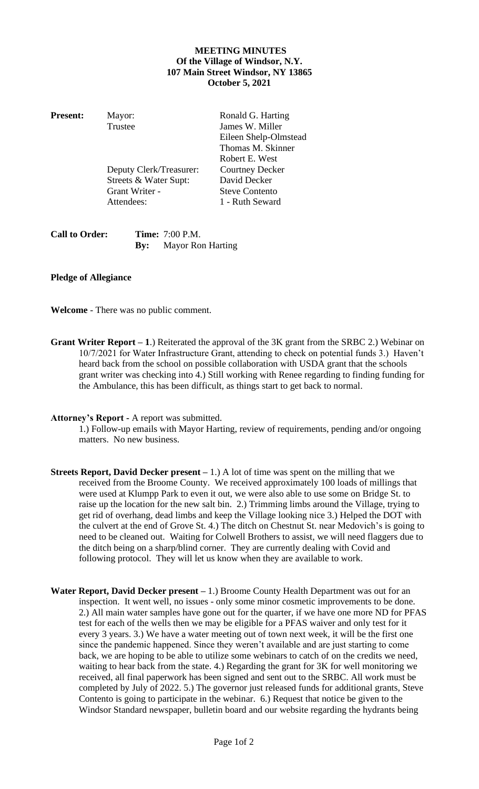## **MEETING MINUTES Of the Village of Windsor, N.Y. 107 Main Street Windsor, NY 13865 October 5, 2021**

| <b>Present:</b> | Mayor:                  | Ronald G. Harting      |
|-----------------|-------------------------|------------------------|
|                 | Trustee                 | James W. Miller        |
|                 |                         | Eileen Shelp-Olmstead  |
|                 |                         | Thomas M. Skinner      |
|                 |                         | Robert E. West         |
|                 | Deputy Clerk/Treasurer: | <b>Courtney Decker</b> |
|                 | Streets & Water Supt:   | David Decker           |
|                 | Grant Writer -          | <b>Steve Contento</b>  |
|                 | Attendees:              | 1 - Ruth Seward        |
|                 |                         |                        |

| <b>Call to Order:</b> | <b>Time:</b> 7:00 P.M.       |
|-----------------------|------------------------------|
|                       | <b>By:</b> Mayor Ron Harting |

## **Pledge of Allegiance**

**Welcome** - There was no public comment.

**Grant Writer Report – 1**.) Reiterated the approval of the 3K grant from the SRBC 2.) Webinar on 10/7/2021 for Water Infrastructure Grant, attending to check on potential funds 3.) Haven't heard back from the school on possible collaboration with USDA grant that the schools grant writer was checking into 4.) Still working with Renee regarding to finding funding for the Ambulance, this has been difficult, as things start to get back to normal.

## **Attorney's Report -** A report was submitted.

1.) Follow-up emails with Mayor Harting, review of requirements, pending and/or ongoing matters. No new business.

- **Streets Report, David Decker present –** 1.) A lot of time was spent on the milling that we received from the Broome County. We received approximately 100 loads of millings that were used at Klumpp Park to even it out, we were also able to use some on Bridge St. to raise up the location for the new salt bin. 2.) Trimming limbs around the Village, trying to get rid of overhang, dead limbs and keep the Village looking nice 3.) Helped the DOT with the culvert at the end of Grove St. 4.) The ditch on Chestnut St. near Medovich's is going to need to be cleaned out. Waiting for Colwell Brothers to assist, we will need flaggers due to the ditch being on a sharp/blind corner. They are currently dealing with Covid and following protocol. They will let us know when they are available to work.
- **Water Report, David Decker present –** 1.) Broome County Health Department was out for an inspection. It went well, no issues - only some minor cosmetic improvements to be done. 2.) All main water samples have gone out for the quarter, if we have one more ND for PFAS test for each of the wells then we may be eligible for a PFAS waiver and only test for it every 3 years. 3.) We have a water meeting out of town next week, it will be the first one since the pandemic happened. Since they weren't available and are just starting to come back, we are hoping to be able to utilize some webinars to catch of on the credits we need, waiting to hear back from the state. 4.) Regarding the grant for 3K for well monitoring we received, all final paperwork has been signed and sent out to the SRBC. All work must be completed by July of 2022. 5.) The governor just released funds for additional grants, Steve Contento is going to participate in the webinar. 6.) Request that notice be given to the Windsor Standard newspaper, bulletin board and our website regarding the hydrants being